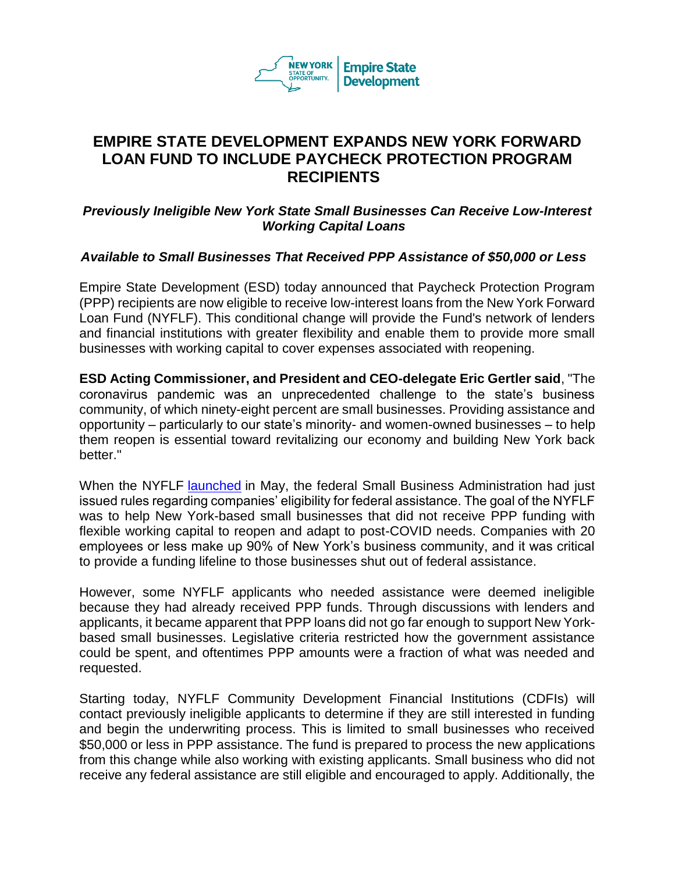

## **EMPIRE STATE DEVELOPMENT EXPANDS NEW YORK FORWARD LOAN FUND TO INCLUDE PAYCHECK PROTECTION PROGRAM RECIPIENTS**

## *Previously Ineligible New York State Small Businesses Can Receive Low-Interest Working Capital Loans*

## *Available to Small Businesses That Received PPP Assistance of \$50,000 or Less*

Empire State Development (ESD) today announced that Paycheck Protection Program (PPP) recipients are now eligible to receive low-interest loans from the New York Forward Loan Fund (NYFLF). This conditional change will provide the Fund's network of lenders and financial institutions with greater flexibility and enable them to provide more small businesses with working capital to cover expenses associated with reopening.

**ESD Acting Commissioner, and President and CEO-delegate Eric Gertler said**, "The coronavirus pandemic was an unprecedented challenge to the state's business community, of which ninety-eight percent are small businesses. Providing assistance and opportunity – particularly to our state's minority- and women-owned businesses – to help them reopen is essential toward revitalizing our economy and building New York back better."

When the NYFLF [launched](https://esd.ny.gov/esd-media-center/press-releases/esd-hcr-100-million-new-york-forward-loan-fund) in May, the federal Small Business Administration had just issued rules regarding companies' eligibility for federal assistance. The goal of the NYFLF was to help New York-based small businesses that did not receive PPP funding with flexible working capital to reopen and adapt to post-COVID needs. Companies with 20 employees or less make up 90% of New York's business community, and it was critical to provide a funding lifeline to those businesses shut out of federal assistance.

However, some NYFLF applicants who needed assistance were deemed ineligible because they had already received PPP funds. Through discussions with lenders and applicants, it became apparent that PPP loans did not go far enough to support New Yorkbased small businesses. Legislative criteria restricted how the government assistance could be spent, and oftentimes PPP amounts were a fraction of what was needed and requested.

Starting today, NYFLF Community Development Financial Institutions (CDFIs) will contact previously ineligible applicants to determine if they are still interested in funding and begin the underwriting process. This is limited to small businesses who received \$50,000 or less in PPP assistance. The fund is prepared to process the new applications from this change while also working with existing applicants. Small business who did not receive any federal assistance are still eligible and encouraged to apply. Additionally, the